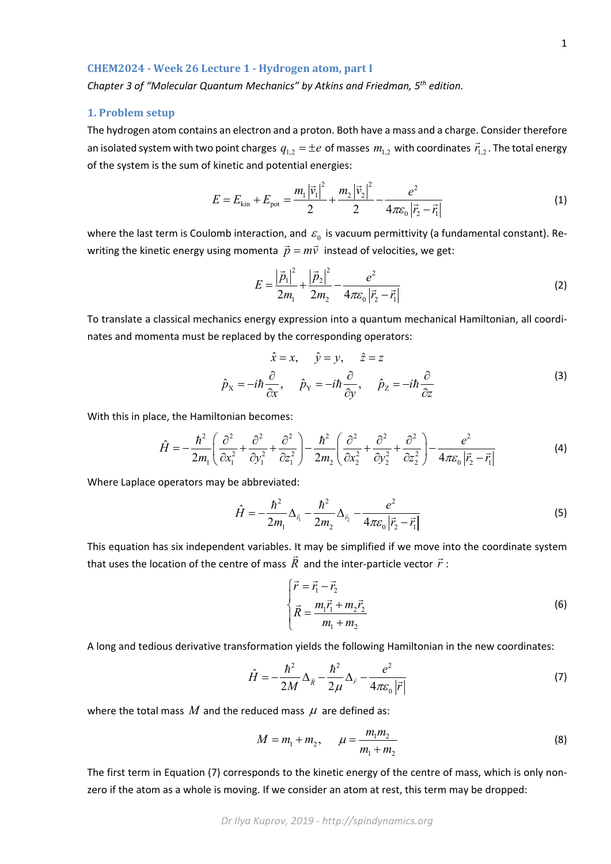ˆ

This equation has six independent variables. It may be simplified if we move into the coordinate system that uses the location of the centre of mass  $\vec{R}$  and the inter-particle vector  $\vec{r}$ :

$$
\begin{cases}\n\vec{r} = \vec{r}_1 - \vec{r}_2 \\
\vec{R} = \frac{m_1 \vec{r}_1 + m_2 \vec{r}_2}{m_1 + m_2}\n\end{cases}
$$
\n(6)

A long and tedious derivative transformation yields the following Hamiltonian in the new coordinates:

$$
\hat{H} = -\frac{\hbar^2}{2M} \Delta_{\vec{R}} - \frac{\hbar^2}{2\mu} \Delta_{\vec{r}} - \frac{e^2}{4\pi\varepsilon_0 |\vec{r}|}
$$
\n(7)

 $=-\frac{\hbar^2}{2m_1}\Delta_{\vec{r}_1}-\frac{\hbar^2}{2m_2}\Delta_{\vec{r}_2}-\frac{e^2}{4\pi\varepsilon_0|\vec{r}_2-\vec{r}_1|}$ (5)

where the total mass  $M$  and the reduced mass  $\mu$  are defined as:

$$
M = m_1 + m_2, \qquad \mu = \frac{m_1 m_2}{m_1 + m_2} \tag{8}
$$

The first term in Equation (7) corresponds to the kinetic energy of the centre of mass, which is only nonzero if the atom as a whole is moving. If we consider an atom at rest, this term may be dropped:

#### **CHEM2024 ‐ Week 26 Lecture 1 ‐ Hydrogen atom, part I**

*Chapter 3 of "Molecular Quantum Mechanics" by Atkins and Friedman, 5th edition.*

## **1. Problem setup**

The hydrogen atom contains an electron and a proton. Both have a mass and a charge. Consider therefore an isolated system with two point charges  $q_{1,2} = \pm e$  of masses  $m_{1,2}$  with coordinates  $\vec{r}_{1,2}$ . The total energy of the system is the sum of kinetic and potential energies:

$$
E = E_{\text{kin}} + E_{\text{pot}} = \frac{m_1 |\vec{v}_1|^2}{2} + \frac{m_2 |\vec{v}_2|^2}{2} - \frac{e^2}{4\pi \varepsilon_0 |\vec{r}_2 - \vec{r}_1|}
$$
(1)

where the last term is Coulomb interaction, and  $\varepsilon_0$  is vacuum permittivity (a fundamental constant). Rewriting the kinetic energy using momenta  $\vec{p} = m\vec{v}$  instead of velocities, we get:

$$
E = \frac{\left|\vec{p}_1\right|^2}{2m_1} + \frac{\left|\vec{p}_2\right|^2}{2m_2} - \frac{e^2}{4\pi\varepsilon_0 \left|\vec{r}_2 - \vec{r}_1\right|}
$$
(2)

To translate a classical mechanics energy expression into a quantum mechanical Hamiltonian, all coordi‐ nates and momenta must be replaced by the corresponding operators:

 $2(3^2 \t2^2 \t3^2 \t3^2 \t4^2 (3^2 \t2^2 \t3^2 \t3^2))$ 

2  $\hbar^2$   $\partial^2$ 

 $v_1$   $v_1$   $v_2$   $v_1$   $v_2$   $v_1$   $v_2$   $v_3$   $v_2$   $v_2$   $v_2$   $v_1$   $v_0$   $r_2$   $r_1$ 

 $\mu_1$  2 $m_2$   $\mu_2$   $\mu_3$   $\mu_2$   $\mu_1$ 

 $=-\frac{\hbar^2}{2m_1}\left(\frac{\partial^2}{\partial x_1^2}+\frac{\partial^2}{\partial y_1^2}+\frac{\partial^2}{\partial z_1^2}\right)-\frac{\hbar^2}{2m_2}\left(\frac{\partial^2}{\partial x_2^2}+\frac{\partial^2}{\partial y_2^2}+\frac{\partial^2}{\partial z_2^2}\right)-\frac{e^2}{4\pi\varepsilon_0|\vec{r}_2-\vec{r}_1|}$  (4)

 $m_1$   $\left(\begin{array}{ccc} \partial x_1^2 & \partial y_1^2 & \partial z_1^2 \end{array}\right)$   $2m_2$   $\left(\begin{array}{ccc} \partial x_2^2 & \partial y_2^2 & \partial z_2^2 \end{array}\right)$   $4\pi\varepsilon_0$   $|\vec{r}, -\vec{r}|$ 

2  $2^{2}$   $2^{-2}$   $2^{-2}$   $2^{2}$   $2^{2}$   $2^{2}$   $2^{2}$   $2^{-2}$   $2^{-2}$ 

 $1 \t 2m \t 2$ 

 $2m_1 \frac{\Delta_{\vec{r}_1}}{2m_2}$   $2m_2 \frac{\Delta_{\vec{r}_2}}{2m_1}$  4  $\hat{H} = -\frac{\hbar^2}{2} \Delta_{\vec{k}} - \frac{\hbar^2}{2} \Delta_{\vec{k}} - \frac{e}{4}$ 

 $2m_1 \left(\begin{array}{ccc} \frac{\partial x^2}{\partial x_1^2} & \frac{\partial y^2}{\partial x_2^2} \end{array}\right)$   $2m_2 \left(\begin{array}{ccc} \frac{\partial x^2}{\partial x_2^2} & \frac{\partial y^2}{\partial x_2^2} \end{array}\right)$  4  $\hat{H} = -\frac{\hbar^2}{2} \left( \frac{\partial^2}{\partial t^2} + \frac{\partial^2}{\partial t^2} + \frac{\partial^2}{\partial t^2} \right) - \frac{\hbar^2}{2} \left( \frac{\partial^2}{\partial t^2} + \frac{\partial^2}{\partial t^2} + \frac{\partial^2}{\partial t^2} \right) - \frac{e^2}{2}$ 

 $\left(\begin{array}{ccc} \widehat{\mathcal{O}}^2 & \widehat{\mathcal{O}}^2 & \widehat{\mathcal{O}}^2 \end{array}\right)$   $\qquad \hbar^2$   $\left(\begin{array}{ccc} \widehat{\mathcal{O}}^2 & \widehat{\mathcal{O}}^2 & \widehat{\mathcal{O}}^2 \end{array}\right)$ 

$$
\hat{x} = x, \quad \hat{y} = y, \quad \hat{z} = z
$$
\n
$$
\hat{p}_X = -i\hbar \frac{\partial}{\partial x}, \quad \hat{p}_Y = -i\hbar \frac{\partial}{\partial y}, \quad \hat{p}_Z = -i\hbar \frac{\partial}{\partial z}
$$
\n(3)

With this in place, the Hamiltonian becomes:

Where Laplace operators may be abbreviated:

ˆ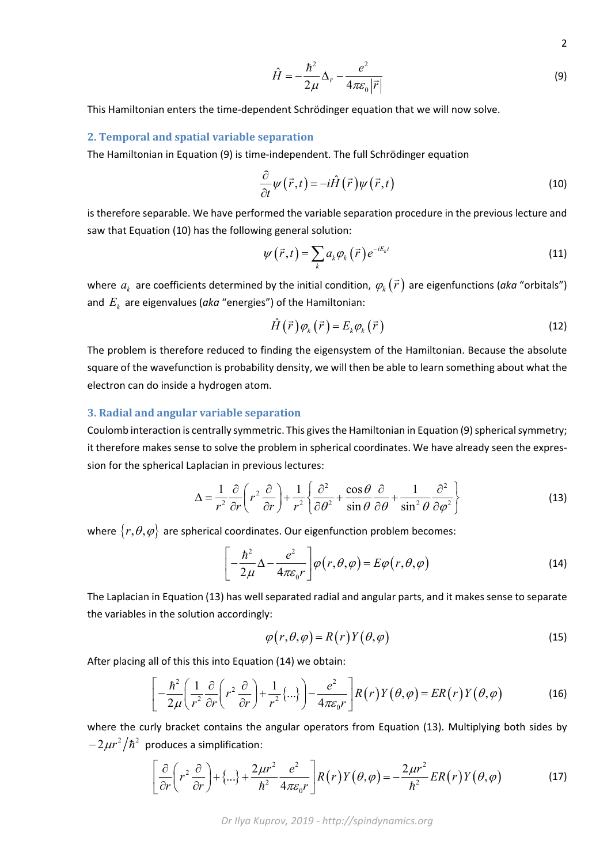$$
\hat{H} = -\frac{\hbar^2}{2\mu} \Delta_{\vec{r}} - \frac{e^2}{4\pi\varepsilon_0 |\vec{r}|}
$$
\n(9)

This Hamiltonian enters the time‐dependent Schrödinger equation that we will now solve.

### **2. Temporal and spatial variable separation**

The Hamiltonian in Equation (9) is time‐independent. The full Schrödinger equation

$$
\frac{\partial}{\partial t}\psi(\vec{r},t) = -i\hat{H}(\vec{r})\psi(\vec{r},t)
$$
\n(10)

is therefore separable. We have performed the variable separation procedure in the previous lecture and saw that Equation (10) has the following general solution:

$$
\psi\left(\vec{r},t\right) = \sum_{k} a_{k} \varphi_{k}\left(\vec{r}\right) e^{-iE_{k}t} \tag{11}
$$

where  $a_k^{\parallel}$  are coefficients determined by the initial condition,  $\phi_k(\vec{r})$  are eigenfunctions (aka "orbitals") and  $E_k$  are eigenvalues ( $a$ ka "energies") of the Hamiltonian:

$$
\hat{H}(\vec{r})\varphi_k(\vec{r}) = E_k \varphi_k(\vec{r})
$$
\n(12)

The problem is therefore reduced to finding the eigensystem of the Hamiltonian. Because the absolute square of the wavefunction is probability density, we will then be able to learn something about what the electron can do inside a hydrogen atom.

## **3. Radial and angular variable separation**

Coulomb interaction is centrally symmetric. This gives the Hamiltonian in Equation (9) spherical symmetry; it therefore makes sense to solve the problem in spherical coordinates. We have already seen the expres‐ sion for the spherical Laplacian in previous lectures:

$$
\Delta = \frac{1}{r^2} \frac{\partial}{\partial r} \left( r^2 \frac{\partial}{\partial r} \right) + \frac{1}{r^2} \left\{ \frac{\partial^2}{\partial \theta^2} + \frac{\cos \theta}{\sin \theta} \frac{\partial}{\partial \theta} + \frac{1}{\sin^2 \theta} \frac{\partial^2}{\partial \varphi^2} \right\}
$$
(13)

where  $\{r, \theta, \varphi\}$  are spherical coordinates. Our eigenfunction problem becomes:

$$
\left[-\frac{\hbar^2}{2\mu}\Delta - \frac{e^2}{4\pi\varepsilon_0 r}\right]\varphi\left(r,\theta,\varphi\right) = E\varphi\left(r,\theta,\varphi\right)
$$
\n(14)

The Laplacian in Equation (13) has well separated radial and angular parts, and it makes sense to separate the variables in the solution accordingly:

$$
\varphi(r,\theta,\varphi) = R(r)Y(\theta,\varphi) \tag{15}
$$

After placing all of this this into Equation (14) we obtain:

$$
\left[ -\frac{\hbar^2}{2\mu} \left( \frac{1}{r^2} \frac{\partial}{\partial r} \left( r^2 \frac{\partial}{\partial r} \right) + \frac{1}{r^2} \{ \ldots \} \right) - \frac{e^2}{4\pi \varepsilon_0 r} \right] R(r) Y(\theta, \varphi) = ER(r)Y(\theta, \varphi)
$$
(16)

where the curly bracket contains the angular operators from Equation (13). Multiplying both sides by  $-2\mu r^2/\hbar^2$  produces a simplification:

$$
\left[\frac{\partial}{\partial r}\left(r^{2}\frac{\partial}{\partial r}\right)+\{\ldots\}+\frac{2\mu r^{2}}{\hbar^{2}}\frac{e^{2}}{4\pi\varepsilon_{0}r}\right]R(r)Y(\theta,\varphi)=-\frac{2\mu r^{2}}{\hbar^{2}}ER(r)Y(\theta,\varphi)\tag{17}
$$